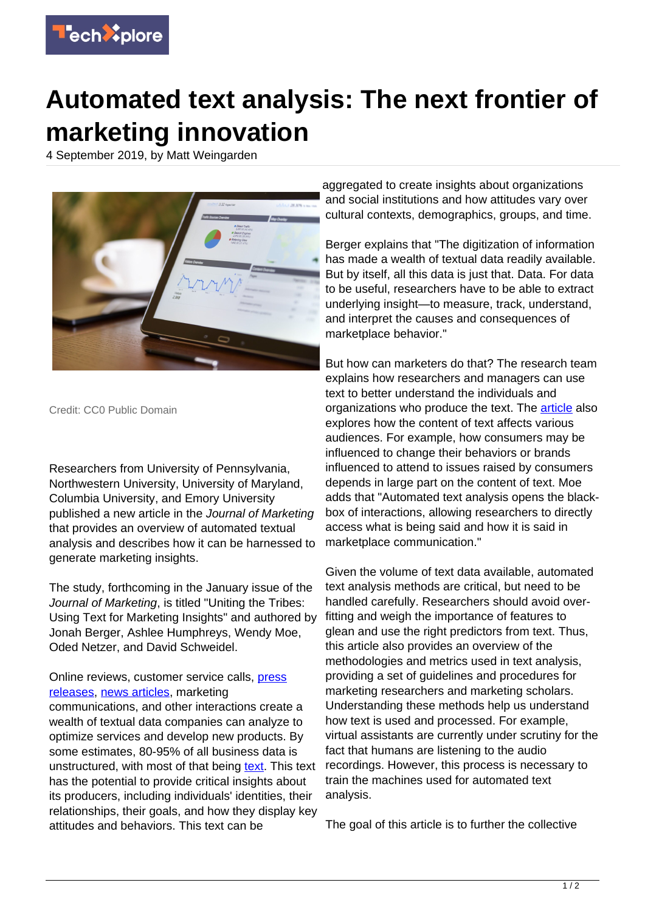

## **Automated text analysis: The next frontier of marketing innovation**

4 September 2019, by Matt Weingarden



Credit: CC0 Public Domain

Researchers from University of Pennsylvania, Northwestern University, University of Maryland, Columbia University, and Emory University published a new article in the Journal of Marketing that provides an overview of automated textual analysis and describes how it can be harnessed to generate marketing insights.

The study, forthcoming in the January issue of the Journal of Marketing, is titled "Uniting the Tribes: Using Text for Marketing Insights" and authored by Jonah Berger, Ashlee Humphreys, Wendy Moe, Oded Netzer, and David Schweidel.

## Online reviews, customer service calls, [press](https://techxplore.com/tags/press+releases/) [releases,](https://techxplore.com/tags/press+releases/) [news articles,](https://techxplore.com/tags/news+articles/) marketing

communications, and other interactions create a wealth of textual data companies can analyze to optimize services and develop new products. By some estimates, 80-95% of all business data is unstructured, with most of that being [text](https://techxplore.com/tags/text/). This text has the potential to provide critical insights about its producers, including individuals' identities, their relationships, their goals, and how they display key attitudes and behaviors. This text can be

aggregated to create insights about organizations and social institutions and how attitudes vary over cultural contexts, demographics, groups, and time.

Berger explains that "The digitization of information has made a wealth of textual data readily available. But by itself, all this data is just that. Data. For data to be useful, researchers have to be able to extract underlying insight—to measure, track, understand, and interpret the causes and consequences of marketplace behavior."

But how can marketers do that? The research team explains how researchers and managers can use text to better understand the individuals and organizations who produce the text. The **article** also explores how the content of text affects various audiences. For example, how consumers may be influenced to change their behaviors or brands influenced to attend to issues raised by consumers depends in large part on the content of text. Moe adds that "Automated text analysis opens the blackbox of interactions, allowing researchers to directly access what is being said and how it is said in marketplace communication."

Given the volume of text data available, automated text analysis methods are critical, but need to be handled carefully. Researchers should avoid overfitting and weigh the importance of features to glean and use the right predictors from text. Thus, this article also provides an overview of the methodologies and metrics used in text analysis, providing a set of guidelines and procedures for marketing researchers and marketing scholars. Understanding these methods help us understand how text is used and processed. For example, virtual assistants are currently under scrutiny for the fact that humans are listening to the audio recordings. However, this process is necessary to train the machines used for automated text analysis.

The goal of this article is to further the collective